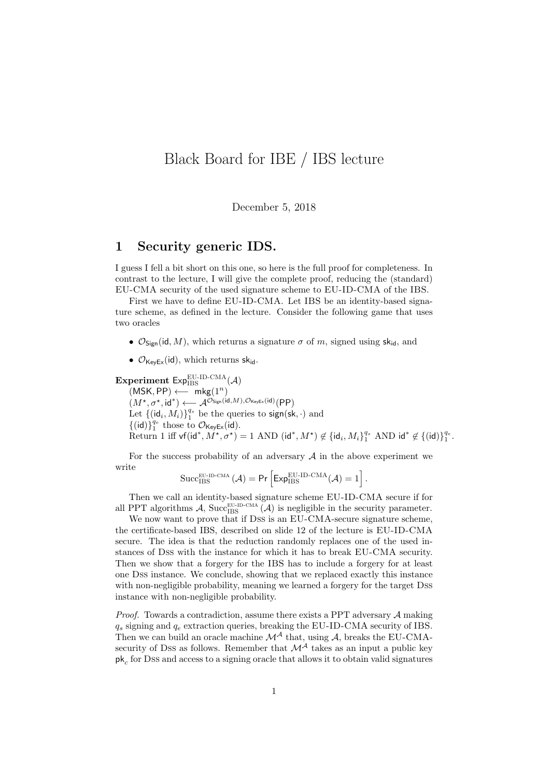## Black Board for IBE / IBS lecture

December 5, 2018

## 1 Security generic IDS.

I guess I fell a bit short on this one, so here is the full proof for completeness. In contrast to the lecture, I will give the complete proof, reducing the (standard) EU-CMA security of the used signature scheme to EU-ID-CMA of the IBS.

First we have to define EU-ID-CMA. Let IBS be an identity-based signature scheme, as defined in the lecture. Consider the following game that uses two oracles

- $\mathcal{O}_{\text{Sion}}(\text{id}, M)$ , which returns a signature  $\sigma$  of m, signed using sk<sub>id</sub>, and
- $\mathcal{O}_{\text{KevEx}}(\text{id})$ , which returns sk<sub>id</sub>.

Experiment  $Exp_{IBS}^{EU-ID-CMA}(\mathcal{A})$ 

 $(MSK, PP) \longleftarrow mkg(1^n)$  $(M^{\star}, \sigma^{\star}, \mathrm{id}^{\ast}) \longleftarrow \mathcal{A}^{\mathcal{O}_{\mathsf{Sign}}(\mathrm{id}, M), \mathcal{O}_{\mathsf{KeyEx}}(\mathrm{id})}(\mathsf{PP})$ Let  $\{(\mathrm{id}_i, M_i)\}_1^{q_s}$  be the queries to sign(sk,  $\cdot$ ) and  $\{(\mathsf{id})\}_1^{q_e}$  those to  $\mathcal{O}_{\mathsf{KeyEx}}(\mathsf{id})$ . Return 1 iff vf(id<sup>\*</sup>,  $M^{\star}$ ,  $\sigma^{\star}$ ) = 1 AND (id<sup>\*</sup>,  $M^{\star}$ )  $\notin$  {id<sub>i</sub>,  $M_i$ }<sup>q<sub>s</sub></sup> AND id<sup>\*</sup>  $\notin$  {(id)}<sup>q<sub>c</sub></sup>.

For the success probability of an adversary  $A$  in the above experiment we write

$$
\mathrm{Succ}_{\mathrm{IBS}}^{\mathrm{EU\text{-}ID\text{-}CMA}}\left(\mathcal{A}\right)=\mathsf{Pr}\left[\mathsf{Exp}_{\mathrm{IBS}}^{\mathrm{EU\text{-}ID\text{-}CMA}}(\mathcal{A})=1\right].
$$

Then we call an identity-based signature scheme EU-ID-CMA secure if for all PPT algorithms A, Succ<sub>IBS</sub> (A) is negligible in the security parameter.

We now want to prove that if Dss is an EU-CMA-secure signature scheme, the certificate-based IBS, described on slide 12 of the lecture is EU-ID-CMA secure. The idea is that the reduction randomly replaces one of the used instances of Dss with the instance for which it has to break EU-CMA security. Then we show that a forgery for the IBS has to include a forgery for at least one Dss instance. We conclude, showing that we replaced exactly this instance with non-negligible probability, meaning we learned a forgery for the target Dss instance with non-negligible probability.

*Proof.* Towards a contradiction, assume there exists a PPT adversary  $A$  making  $q_s$  signing and  $q_e$  extraction queries, breaking the EU-ID-CMA security of IBS. Then we can build an oracle machine  $\mathcal{M}^{\mathcal{A}}$  that, using  $\mathcal{A}$ , breaks the EU-CMAsecurity of Dss as follows. Remember that  $\mathcal{M}^{\mathcal{A}}$  takes as an input a public key  $\mathsf{pk}_c$  for Dss and access to a signing oracle that allows it to obtain valid signatures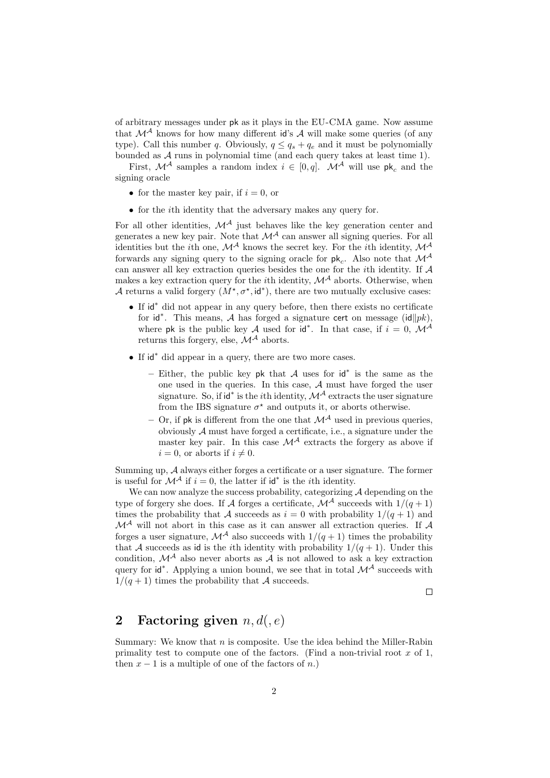of arbitrary messages under pk as it plays in the EU-CMA game. Now assume that  $\mathcal{M}^{\mathcal{A}}$  knows for how many different id's  $\mathcal{A}$  will make some queries (of any type). Call this number q. Obviously,  $q \leq q_s + q_e$  and it must be polynomially bounded as  $A$  runs in polynomial time (and each query takes at least time 1).

First,  $\mathcal{M}^{\mathcal{A}}$  samples a random index  $i \in [0, q]$ .  $\mathcal{M}^{\mathcal{A}}$  will use pk<sub>c</sub> and the signing oracle

- for the master key pair, if  $i = 0$ , or
- for the *i*th identity that the adversary makes any query for.

For all other identities,  $\mathcal{M}^{\mathcal{A}}$  just behaves like the key generation center and generates a new key pair. Note that  $\mathcal{M}^{\mathcal{A}}$  can answer all signing queries. For all identities but the *i*th one,  $\mathcal{M}^{\mathcal{A}}$  knows the secret key. For the *i*th identity,  $\mathcal{M}^{\mathcal{A}}$ forwards any signing query to the signing oracle for  $pk_c$ . Also note that  $\mathcal{M}^{\mathcal{A}}$ can answer all key extraction queries besides the one for the ith identity. If A makes a key extraction query for the *i*th identity,  $\mathcal{M}^{\mathcal{A}}$  aborts. Otherwise, when A returns a valid forgery  $(M^*, \sigma^*, \mathrm{id}^*)$ , there are two mutually exclusive cases:

- If id<sup>∗</sup> did not appear in any query before, then there exists no certificate for id<sup>\*</sup>. This means, A has forged a signature cert on message (id $||pk$ ), where pk is the public key A used for id<sup>\*</sup>. In that case, if  $i = 0$ ,  $\mathcal{M}^{\mathcal{A}}$ returns this forgery, else,  $\mathcal{M}^{\mathcal{A}}$  aborts.
- If id<sup>∗</sup> did appear in a query, there are two more cases.
	- Either, the public key pk that  $A$  uses for  $\mathsf{id}^*$  is the same as the one used in the queries. In this case, A must have forged the user signature. So, if id<sup>\*</sup> is the *i*th identity,  $\mathcal{M}^{\mathcal{A}}$  extracts the user signature from the IBS signature  $\sigma^*$  and outputs it, or aborts otherwise.
	- Or, if pk is different from the one that  $\mathcal{M}^{\mathcal{A}}$  used in previous queries, obviously A must have forged a certificate, i.e., a signature under the master key pair. In this case  $\mathcal{M}^{\mathcal{A}}$  extracts the forgery as above if  $i = 0$ , or aborts if  $i \neq 0$ .

Summing up, A always either forges a certificate or a user signature. The former is useful for  $\mathcal{M}^{\mathcal{A}}$  if  $i=0$ , the latter if  $\mathsf{id}^*$  is the *i*th identity.

We can now analyze the success probability, categorizing  $A$  depending on the type of forgery she does. If A forges a certificate,  $\mathcal{M}^{\mathcal{A}}$  succeeds with  $1/(q+1)$ times the probability that A succeeds as  $i = 0$  with probability  $1/(q+1)$  and  $\mathcal{M}^{\mathcal{A}}$  will not abort in this case as it can answer all extraction queries. If  $\mathcal{A}$ forges a user signature,  $\mathcal{M}^{\mathcal{A}}$  also succeeds with  $1/(q+1)$  times the probability that A succeeds as id is the *i*th identity with probability  $1/(q+1)$ . Under this condition,  $\mathcal{M}^{\mathcal{A}}$  also never aborts as  $\mathcal{A}$  is not allowed to ask a key extraction query for  $id^*$ . Applying a union bound, we see that in total  $\mathcal{M}^{\mathcal{A}}$  succeeds with  $1/(q+1)$  times the probability that A succeeds.

 $\Box$ 

## 2 Factoring given  $n, d(, e)$

Summary: We know that  $n$  is composite. Use the idea behind the Miller-Rabin primality test to compute one of the factors. (Find a non-trivial root  $x$  of 1, then  $x - 1$  is a multiple of one of the factors of n.)